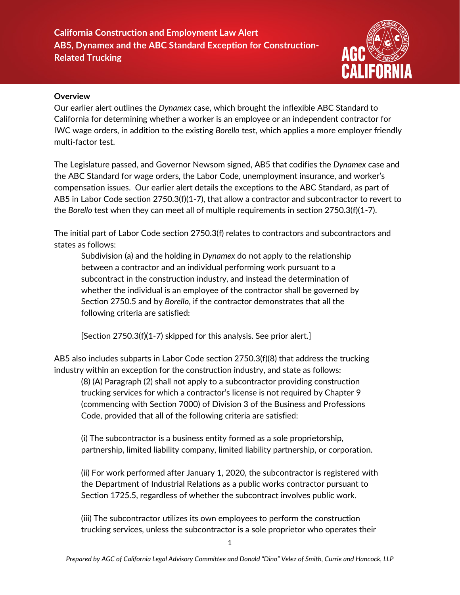

#### **Overview**

Our earlier alert outlines the *Dynamex* case, which brought the inflexible ABC Standard to California for determining whether a worker is an employee or an independent contractor for IWC wage orders, in addition to the existing *Borello* test, which applies a more employer friendly multi-factor test.

The Legislature passed, and Governor Newsom signed, AB5 that codifies the *Dynamex* case and the ABC Standard for wage orders, the Labor Code, unemployment insurance, and worker's compensation issues. Our earlier alert details the exceptions to the ABC Standard, as part of AB5 in Labor Code section 2750.3(f)(1-7), that allow a contractor and subcontractor to revert to the *Borello* test when they can meet all of multiple requirements in section 2750.3(f)(1-7).

The initial part of Labor Code section 2750.3(f) relates to contractors and subcontractors and states as follows:

Subdivision (a) and the holding in *Dynamex* do not apply to the relationship between a contractor and an individual performing work pursuant to a subcontract in the construction industry, and instead the determination of whether the individual is an employee of the contractor shall be governed by Section 2750.5 and by *Borello*, if the contractor demonstrates that all the following criteria are satisfied:

[Section 2750.3(f)(1-7) skipped for this analysis. See prior alert.]

AB5 also includes subparts in Labor Code section 2750.3(f)(8) that address the trucking industry within an exception for the construction industry, and state as follows:

(8) (A) Paragraph (2) shall not apply to a subcontractor providing construction trucking services for which a contractor's license is not required by Chapter 9 (commencing with Section 7000) of Division 3 of the Business and Professions Code, provided that all of the following criteria are satisfied:

(i) The subcontractor is a business entity formed as a sole proprietorship, partnership, limited liability company, limited liability partnership, or corporation.

(ii) For work performed after January 1, 2020, the subcontractor is registered with the Department of Industrial Relations as a public works contractor pursuant to Section 1725.5, regardless of whether the subcontract involves public work.

(iii) The subcontractor utilizes its own employees to perform the construction trucking services, unless the subcontractor is a sole proprietor who operates their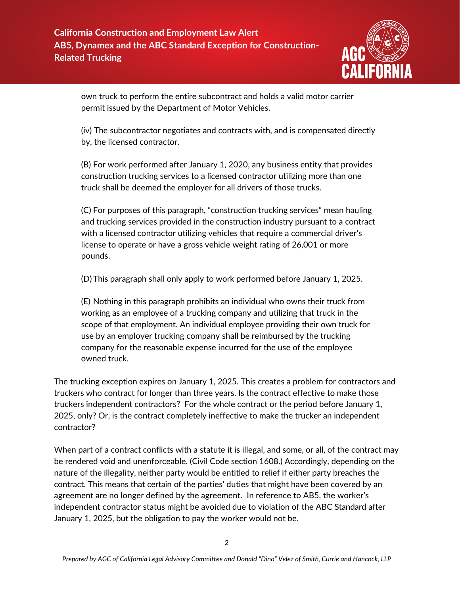

own truck to perform the entire subcontract and holds a valid motor carrier permit issued by the Department of Motor Vehicles.

(iv) The subcontractor negotiates and contracts with, and is compensated directly by, the licensed contractor.

(B) For work performed after January 1, 2020, any business entity that provides construction trucking services to a licensed contractor utilizing more than one truck shall be deemed the employer for all drivers of those trucks.

(C) For purposes of this paragraph, "construction trucking services" mean hauling and trucking services provided in the construction industry pursuant to a contract with a licensed contractor utilizing vehicles that require a commercial driver's license to operate or have a gross vehicle weight rating of 26,001 or more pounds.

(D)This paragraph shall only apply to work performed before January 1, 2025.

(E) Nothing in this paragraph prohibits an individual who owns their truck from working as an employee of a trucking company and utilizing that truck in the scope of that employment. An individual employee providing their own truck for use by an employer trucking company shall be reimbursed by the trucking company for the reasonable expense incurred for the use of the employee owned truck.

The trucking exception expires on January 1, 2025. This creates a problem for contractors and truckers who contract for longer than three years. Is the contract effective to make those truckers independent contractors? For the whole contract or the period before January 1, 2025, only? Or, is the contract completely ineffective to make the trucker an independent contractor?

When part of a contract conflicts with a statute it is illegal, and some, or all, of the contract may be rendered void and unenforceable. (Civil Code section 1608.) Accordingly, depending on the nature of the illegality, neither party would be entitled to relief if either party breaches the contract. This means that certain of the parties' duties that might have been covered by an agreement are no longer defined by the agreement. In reference to AB5, the worker's independent contractor status might be avoided due to violation of the ABC Standard after January 1, 2025, but the obligation to pay the worker would not be.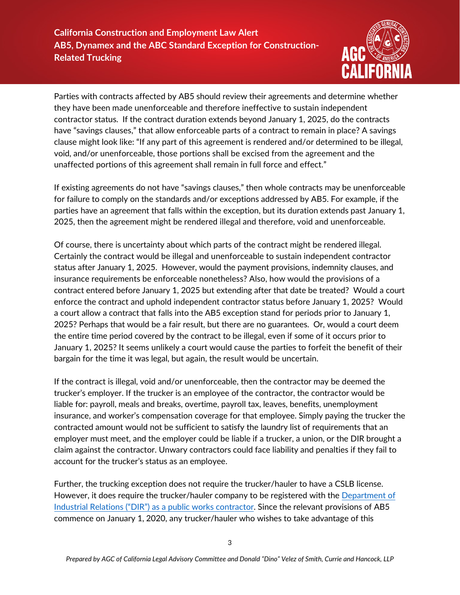# **California Construction and Employment Law Alert AB5, Dynamex and the ABC Standard Exception for Construction-Related Trucking**



Parties with contracts affected by AB5 should review their agreements and determine whether they have been made unenforceable and therefore ineffective to sustain independent contractor status. If the contract duration extends beyond January 1, 2025, do the contracts have "savings clauses," that allow enforceable parts of a contract to remain in place? A savings clause might look like: "If any part of this agreement is rendered and/or determined to be illegal, void, and/or unenforceable, those portions shall be excised from the agreement and the unaffected portions of this agreement shall remain in full force and effect."

If existing agreements do not have "savings clauses," then whole contracts may be unenforceable for failure to comply on the standards and/or exceptions addressed by AB5. For example, if the parties have an agreement that falls within the exception, but its duration extends past January 1, 2025, then the agreement might be rendered illegal and therefore, void and unenforceable.

Of course, there is uncertainty about which parts of the contract might be rendered illegal. Certainly the contract would be illegal and unenforceable to sustain independent contractor status after January 1, 2025. However, would the payment provisions, indemnity clauses, and insurance requirements be enforceable nonetheless? Also, how would the provisions of a contract entered before January 1, 2025 but extending after that date be treated? Would a court enforce the contract and uphold independent contractor status before January 1, 2025? Would a court allow a contract that falls into the AB5 exception stand for periods prior to January 1, 2025? Perhaps that would be a fair result, but there are no guarantees. Or, would a court deem the entire time period covered by the contract to be illegal, even if some of it occurs prior to January 1, 2025? It seems unlikely a court would cause the parties to forfeit the benefit of their bargain for the time it was legal, but again, the result would be uncertain.

If the contract is illegal, void and/or unenforceable, then the contractor may be deemed the trucker's employer. If the trucker is an employee of the contractor, the contractor would be liable for: payroll, meals and breaks, overtime, payroll tax, leaves, benefits, unemployment insurance, and worker's compensation coverage for that employee. Simply paying the trucker the contracted amount would not be sufficient to satisfy the laundry list of requirements that an employer must meet, and the employer could be liable if a trucker, a union, or the DIR brought a claim against the contractor. Unwary contractors could face liability and penalties if they fail to account for the trucker's status as an employee.

Further, the trucking exception does not require the trucker/hauler to have a CSLB license. However, it does require the trucker/hauler company to be registered with th[e Department of](https://www.dir.ca.gov/Public-Works/Contractor-Registration.html) Industrial Relations [\("DIR"\) as a public works contractor.](https://www.dir.ca.gov/Public-Works/Contractor-Registration.html) Since the relevant provisions of AB5 commence on January 1, 2020, any trucker/hauler who wishes to take advantage of this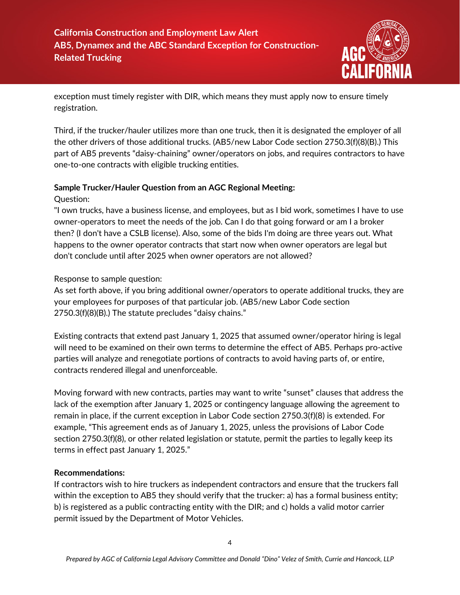

exception must timely register with DIR, which means they must apply now to ensure timely registration.

Third, if the trucker/hauler utilizes more than one truck, then it is designated the employer of all the other drivers of those additional trucks. (AB5/new Labor Code section 2750.3(f)(8)(B).) This part of AB5 prevents "daisy-chaining" owner/operators on jobs, and requires contractors to have one-to-one contracts with eligible trucking entities.

#### **Sample Trucker/Hauler Question from an AGC Regional Meeting:**

Question:

"I own trucks, have a business license, and employees, but as I bid work, sometimes I have to use owner-operators to meet the needs of the job. Can I do that going forward or am I a broker then? (I don't have a CSLB license). Also, some of the bids I'm doing are three years out. What happens to the owner operator contracts that start now when owner operators are legal but don't conclude until after 2025 when owner operators are not allowed?

Response to sample question:

As set forth above, if you bring additional owner/operators to operate additional trucks, they are your employees for purposes of that particular job. (AB5/new Labor Code section 2750.3(f)(8)(B).) The statute precludes "daisy chains."

Existing contracts that extend past January 1, 2025 that assumed owner/operator hiring is legal will need to be examined on their own terms to determine the effect of AB5. Perhaps pro-active parties will analyze and renegotiate portions of contracts to avoid having parts of, or entire, contracts rendered illegal and unenforceable.

Moving forward with new contracts, parties may want to write "sunset" clauses that address the lack of the exemption after January 1, 2025 or contingency language allowing the agreement to remain in place, if the current exception in Labor Code section 2750.3(f)(8) is extended. For example, "This agreement ends as of January 1, 2025, unless the provisions of Labor Code section 2750.3(f)(8), or other related legislation or statute, permit the parties to legally keep its terms in effect past January 1, 2025."

### **Recommendations:**

If contractors wish to hire truckers as independent contractors and ensure that the truckers fall within the exception to AB5 they should verify that the trucker: a) has a formal business entity; b) is registered as a public contracting entity with the DIR; and c) holds a valid motor carrier permit issued by the Department of Motor Vehicles.